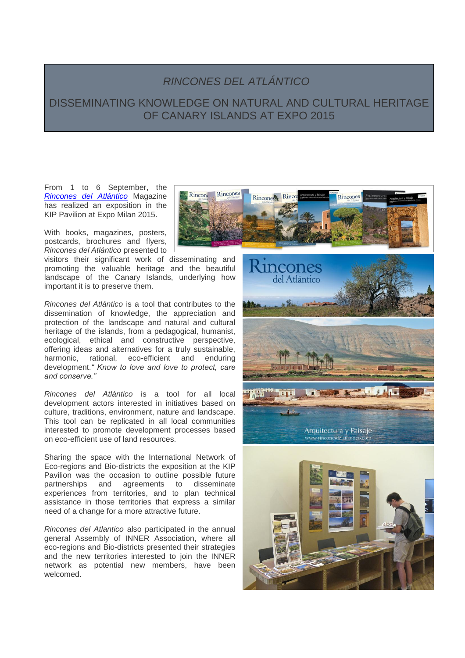## *RINCONES DEL ATLÁNTICO*

## DISSEMINATING KNOWLEDGE ON NATURAL AND CULTURAL HERITAGE OF CANARY ISLANDS AT EXPO 2015

From 1 to 6 September, the *[Rincones del Atlántico](http://www.rinconesdelatlantico.es/index.php)* Magazine has realized an exposition in the KIP Pavilion at Expo Milan 2015.

With books, magazines, posters, postcards, brochures and flyers, *Rincones del Atlántico* presented to

visitors their significant work of disseminating and promoting the valuable heritage and the beautiful landscape of the Canary Islands, underlying how important it is to preserve them.

*Rincones del Atlántico* is a tool that contributes to the dissemination of knowledge, the appreciation and protection of the landscape and natural and cultural heritage of the islands, from a pedagogical, humanist, ecological, ethical and constructive perspective, offering ideas and alternatives for a truly sustainable, harmonic, rational, eco-efficient and enduring development.*" Know to love and love to protect, care and conserve."*

*Rincones del Atlántico* is a tool for all local development actors interested in initiatives based on culture, traditions, environment, nature and landscape. This tool can be replicated in all local communities interested to promote development processes based on eco-efficient use of land resources.

Sharing the space with the International Network of Eco-regions and Bio-districts the exposition at the KIP Pavilion was the occasion to outline possible future partnerships and agreements to disseminate experiences from territories, and to plan technical assistance in those territories that express a similar need of a change for a more attractive future.

*Rincones del Atlantico* also participated in the annual general Assembly of INNER Association, where all eco-regions and Bio-districts presented their strategies and the new territories interested to join the INNER network as potential new members, have been welcomed.





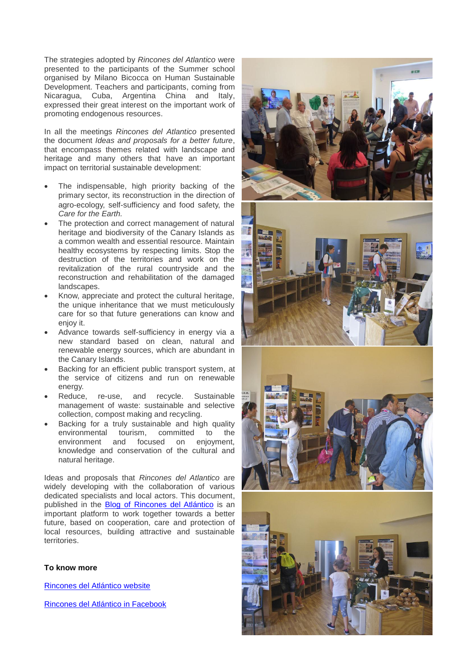The strategies adopted by *Rincones del Atlantico* were presented to the participants of the Summer school organised by Milano Bicocca on Human Sustainable Development. Teachers and participants, coming from Nicaragua, Cuba, Argentina China and Italy, expressed their great interest on the important work of promoting endogenous resources.

In all the meetings *Rincones del Atlantico* presented the document *Ideas and proposals for a better future*, that encompass themes related with landscape and heritage and many others that have an important impact on territorial sustainable development:

- The indispensable, high priority backing of the primary sector, its reconstruction in the direction of agro-ecology, self-sufficiency and food safety, the *Care for the Earth.*
- The protection and correct management of natural heritage and biodiversity of the Canary Islands as a common wealth and essential resource. Maintain healthy ecosystems by respecting limits. Stop the destruction of the territories and work on the revitalization of the rural countryside and the reconstruction and rehabilitation of the damaged landscapes.
- Know, appreciate and protect the cultural heritage, the unique inheritance that we must meticulously care for so that future generations can know and enjoy it.
- Advance towards self-sufficiency in energy via a new standard based on clean, natural and renewable energy sources, which are abundant in the Canary Islands.
- Backing for an efficient public transport system, at the service of citizens and run on renewable energy.
- Reduce, re-use, and recycle. Sustainable management of waste: sustainable and selective collection, compost making and recycling.
- Backing for a truly sustainable and high quality environmental tourism, committed to the<br>environment and focused on enjoyment. environment and focused on enjoyment, knowledge and conservation of the cultural and natural heritage.

Ideas and proposals that *Rincones del Atlantico* are widely developing with the collaboration of various dedicated specialists and local actors. This document, published in the Blog of [Rincones del Atlántico](http://www.rinconesdelatlantico.es/blog/2014/09/) is an important platform to work together towards a better future, based on cooperation, care and protection of local resources, building attractive and sustainable territories.

## **To know more**

[Rincones del Atlántico](http://www.rinconesdelatlantico.es/index.php) website

[Rincones del Atlántico in Facebook](https://es-la.facebook.com/RINCONES-DEL-ATLANTICO-CANARIAS-47214598402/timeline/)